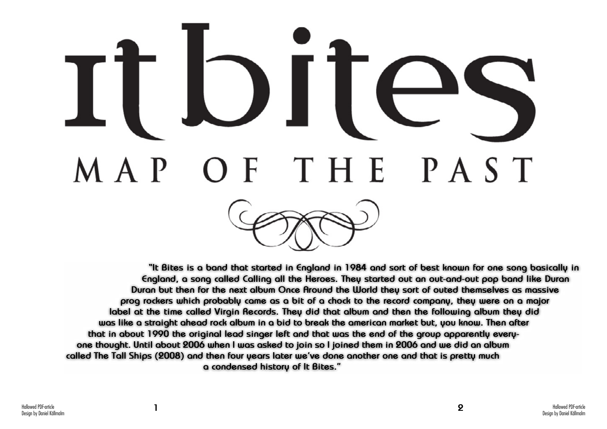

## $\overline{\phantom{a}}$ THE PAST M A P

**"It Bites is a band that started in England in 1984 and sort of best known for one song basically in England, a song called Calling all the Heroes. They started out an out-and-out pop band like Duran Duran but then for the next album Once Around the World they sort of outed themselves as massive prog rockers which probably came as a bit of a chock to the record company, they were on a major label at the time called Virgin Records. They did that album and then the following album they did was like a straight ahead rock album in a bid to break the american market but, you know. Then after that in about 1990 the original lead singer left and that was the end of the group apparently everyone thought. Until about 2006 when I was asked to join so I joined them in 2006 and we did an album called The Tall Ships (2008) and then four years later we've done another one and that is pretty much a condensed history of It Bites."**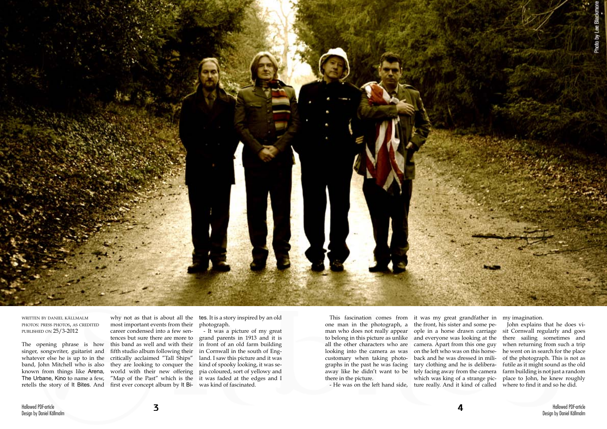

written by daniel källmalm photos: press photos, as credited published on 25/3-2012

The opening phrase is how singer, songwriter, guitarist and whatever else he is up to in the band, John Mitchell who is also known from things like Arena, The Urbane, Kino to name a few, retells the story of It Bites. And why not as that is about all the tes. It is a story inspired by an old photograph.

most important events from their career condensed into a few sentences but sure there are more to this band as well and with their fifth studio album following their critically acclaimed "Tall Ships" world with their new offering first ever concept album by It Bi-was kind of fascinated.

they are looking to conquer the kind of spooky looking, it was se-"Map of the Past" which is the it was faded at the edges and I - It was a picture of my great grand parents in 1913 and it is in front of an old farm building in Cornwall in the south of England. I saw this picture and it was pia coloured, sort of yellowy and

one man in the photograph, a looking into the camera as was customary when taking photographs in the past he was facing there in the picture.

This fascination comes from it was my great grandfather in my imagination. man who does not really appear ople in a horse drawn carriage all the other characters who are camera. Apart from this one guy away like he didn't want to be tely facing away from the camera - He was on the left hand side, ture really. And it kind of called the front, his sister and some peon the left who was on this horseback and he was dressed in military clothing and he is deliberawhich was king of a strange pic-

to belong in this picture as unlike and everyone was looking at the there sailing sometimes and John explains that he does visit Cornwall regularly and goes when returning from such a trip he went on in search for the place of the photograph. This is not as futile as it might sound as the old farm building is not just a random place to John, he knew roughly where to find it and so he did.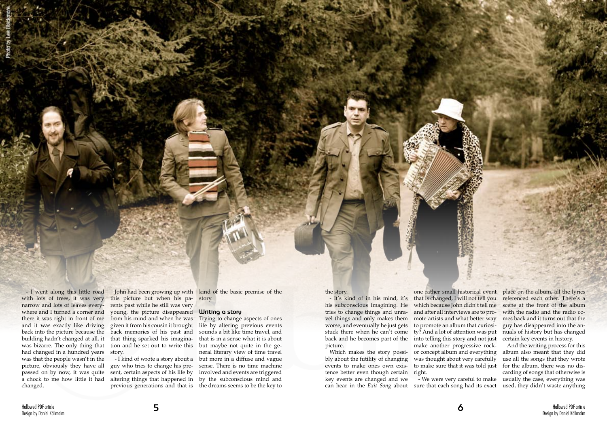- I went along this little road with lots of trees, it was very narrow and lots of leaves everywhere and I turned a corner and there it was right in front of me and it was exactly like driving back into the picture because the building hadn't changed at all, it was bizarre. The only thing that had changed in a hundred years was that the people wasn't in the picture, obviously they have all passed on by now, it was quite a chock to me how little it had changed.

this picture but when his parents past while he still was very young, the picture disappeared from his mind and when he was given it from his cousin it brought back memories of his past and that thing sparked his imagination and he set out to write this story.

John had been growing up with kind of the basic premise of the story.

### **Writing a story**

- I kind of wrote a story about a but more in a diffuse and vague Trying to change aspects of ones life by altering previous events sounds a bit like time travel, and that is in a sense what it is about but maybe not quite in the general literary view of time travel sense. There is no time machine involved and events are triggered by the subconscious mind and

Which makes the story possi- or concept album and everything that is changed, I will not tell you which because John didn't tell me and after all interviews are to promote artists and what better way to promote an album that curiosimake another progressive rockwas thought about very carefully to make sure that it was told just

guy who tries to change his present, certain aspects of his life by altering things that happened in previous generations and that is the dreams seems to be the key to the story.

- It's kind of in his mind, it's his subconscious imagining. He tries to change things and unravel things and only makes them worse, and eventually he just gets stuck there when he can't come ty? And a lot of attention was put back and he becomes part of the into telling this story and not just picture.

bly about the futility of changing events to make ones own existence better even though certain right. key events are changed and we

can hear in the *Exit Song* about sure that each song had its exact - We were very careful to make

one rather small historical event place on the album, all the lyrics referenced each other. There's a scene at the front of the album with the radio and the radio comes back and it turns out that the guy has disappeared into the annuals of history but has changed certain key events in history.

> And the writing process for this album also meant that they did use all the songs that they wrote for the album, there was no discarding of songs that otherwise is usually the case, everything was used, they didn't waste anything

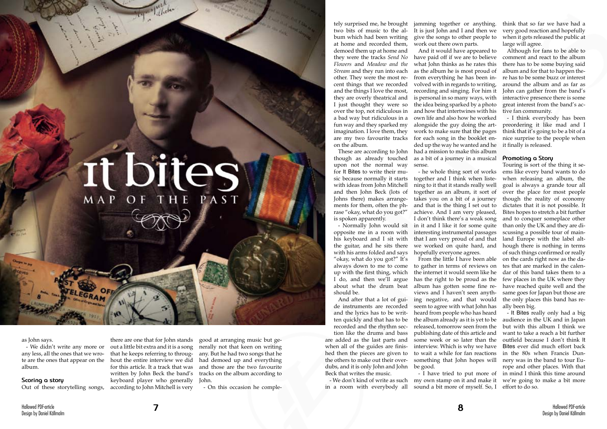# It bites

as John says.

- We didn't write any more or any less, all the ones that we wrote are the ones that appear on the album.

### **Scoring a story**

Out of these storytelling songs,

there are one that for John stands out a little bit extra and it is a song that he keeps referring to throughout the entire interview we did for this article. It a track that was written by John Beck the band's keyboard player who generally John. according to John Mitchell is very

good at arranging music but generally not that keen on writing any. But he had two songs that he had demoed up and everything and those are the two favourite tracks on the album according to

- On this occasion he comple-

tely surprised me, he brought two bits of music to the album which had been writing at home and recorded them, demoed them up at home and they were the tracks *Send No Flowers* and *Meadow and the Stream* and they run into each other. They were the most recent things that we recorded and the things I love the most, they are overly theatrical and I just thought they were so over the top, not ridiculous in fun way and they sparked my imagination. I love them, they are my two favourite tracks on the album.

though as already touched upon not the normal way for It Bites to write their music because normally it starts with ideas from John Mitchell and then John Beck (lots of Johns there) makes arrangements for them, often the phrase "okay, what do you got?" is spoken apparently.

opposite me in a room with his keyboard and I sit with the guitar, and he sits there with his arms folded and says "okay, what do you got?" It's always down to me to come up with the first thing, which I do, and then we'll argue about what the drum beat should be.

de instruments are recorded and the lyrics has to be written quickly and that has to be recorded and the rhythm section like the drums and bass

a bad way but ridiculous in a own life and also how he worked These are according to John had a mission to make this album And it would have appeared to have paid off if we are to believe what John thinks as he rates this as the album he is most proud of from everything he has been involved with in regards to writing, recording and singing. For him it is personal in so many ways, with the idea being sparked by a photo and how that intertwines with his alongside the guy doing the artwork to make sure that the pages for each song in the booklet ended up the way he wanted and he as a bit of a journey in a musical sense.

are added as the last parts and when all of the guides are finished then the pieces are given to the others to make out their overdubs, and it is only John and John be good. Beck that writes the music.

- We don't kind of write as such in a room with everybody all

jamming together or anything. It is just John and I and then we give the songs to other people to work out there own parts.

- Normally John would sit in it and I like it for some quite - he whole thing sort of works together and I think when listening to it that it stands really well together as an album, it sort of takes you on a bit of a journey and that is the thing I set out to achieve. And I am very pleased, I don't think there's a weak song interesting instrumental passages that I am very proud of and that we worked on quite hard, and hopefully everyone agrees.

And after that a lot of gui-ing negative, and that would From the little I have been able to gather in terms of reviews on the internet it would seem like he has the right to be proud as the album has gotten some fine reviews and I haven't seen anythseem to agree with what John has heard from people who has heard the album already as it is yet to be publishing date of this article and some week or so later than the interview. Which is why we have to wait a while for fan reactions something that John hopes will

> - I have tried to put more of my own stamp on it and make it sound a bit more of myself. So, I

think that so far we have had a very good reaction and hopefully when it gets released the public at large will agree.

Although for fans to be able to comment and react to the album there has to be some buying said album and for that to happen there has to be some buzz or interest around the album and as far as John can gather from the band's interactive presence there is some great interest from the band's active fan community.

- I think everybody has been preordering it like mad and I think that it's going to be a bit of a nice surprise to the people when it finally is released.

## **Promoting a Story**

released, tomorrow seen from the but with this album I think we - It Bites really only had a big audience in the UK and in Japan want to take a reach a bit further outfield because I don't think It Bites ever did much effort back in the 80s when Francis Dunnery was in the band to tour Europe and other places. With that in mind I think this time around we're going to make a bit more effort to do so.

Touring is sort of the thing it seems like every band wants to do when releasing an album, the goal is always a grande tour all over the place for most people though the reality of economy dictates that it is not possible. It Bites hopes to stretch a bit further and to conquer someplace other than only the UK and they are discussing a possible tour of mainland Europe with the label although there is nothing in terms of such things confirmed or really on the cards right now as the dates that are marked in the calendar of this band takes them to a few places in the UK where they have reached quite well and the same goes for Japan but those are the only places this band has really been big.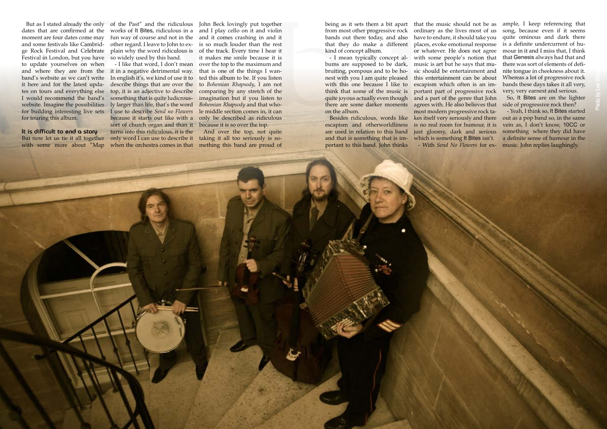Hallowed PDF-article Design by Daniel Källmalm

dates that are confirmed at the moment are four dates come may and some festivals like Cambridge Rock Festival and Celebrate Festival in London, but you have so widely used by this band. to update yourselves on when it here and for the latest upda-I would recommend the band's something that is quite ludicrouswebsite. Imagine the possibilities for building interesting live sets for touring this album.

But as I stated already the only of the Past" and the ridiculous John Beck lovingly put together works of It Bites, ridiculous in a and I play cello on it and violin fun way of course and not in the and it comes crashing in and it other regard. I leave to John to explain why the word ridiculous is

**It is difficult to end a story**

and where they are from the it in a negative detrimental way. band's website as we can't write In english it's, we kind of use it to tes on tours and everything else top, it is an adjective to describe But now let us tie it all together only word I can use to describe it with some more about "Map when the orchestra comes in that - I like that word, I don't mean describe things that are over the ly larger than life, that's the word I use to describe *Send no Flowers* because it starts out like with a sort of church organ and than it turns into this ridiculous, it is the

is so much louder than the rest of the track. Every time I hear it it makes me smile because it is over the top to the maximum and that is one of the things I wanted this album to be. If you listen to *Bohemian Rhapsody*, I am not comparing by any stretch of the imagination but if you listen to *Bohemian Rhapsody* and that whole middle section comes in, it can only be described as ridiculous because it is so over the top.

And over the top, not quite taking it all too seriously is something this band are proud of

being as it sets them a bit apart from most other progressive rock bands out there today, and also that they do make a different kind of concept album.

- I mean typically concept albums are supposed to be dark, bruiting, pompous and to be honest with you I am quite pleased with this one because I like to think that some of the music is quite joyous actually even though there are some darker moments on the album.

escapism and otherworldliness are used in relation to this band and that is something that is important to this band. John thinks

Besides ridiculous, words like kes itself very seriously and there that the music should not be as ordinary as the lives most of us have to endure, it should take you places, evoke emotional response or whatever. He does not agree with some people's notion that music is art but he says that music should be entertainment and this entertainment can be about escapism which often is an important part of progressive rock and a part of the genre that John agrees with. He also believes that most modern progressive rock tais no real room for humour, it is just gloomy, dark and serious which is something It Bites isn't. - With *Send No Flowers* for ex-music. John replies laughingly.

ample, I keep referencing that song, because even if it seems quite ominous and dark there is a definite undercurrent of humour in it and I miss that, I think that Genesis always had that and there was sort of elements of definite tongue in cheekness about it. Whereas a lot of progressive rock bands these days takes it all very, very, very earnest and serious.

So, It Bites are on the lighter side of progressive rock then?

- Yeah, I think so, It Bites started out as a pop band so, in the same vein as, I don't know, 10CC or something where they did have a definite sense of humour in the